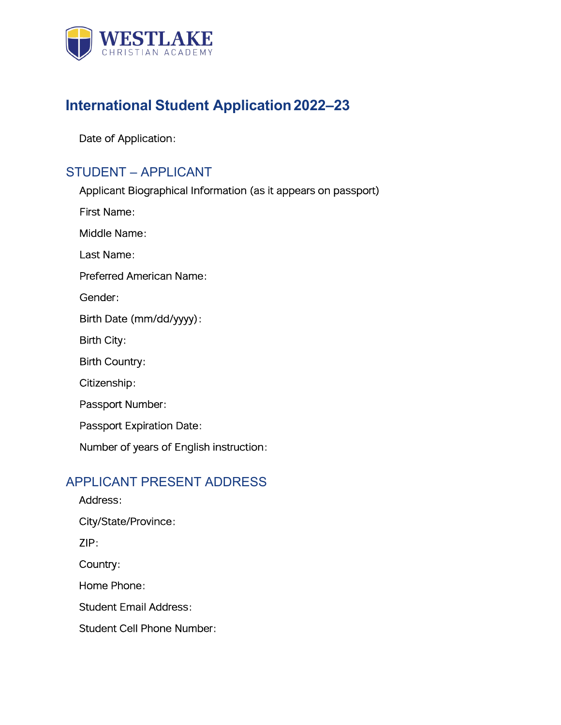

# **International Student Application2022–23**

Date of Application:

## STUDENT – APPLICANT

Applicant Biographical Information (as it appears on passport) First Name: Middle Name: Last Name: Preferred American Name: Gender: Birth Date (mm/dd/yyyy): Birth City: Birth Country: Citizenship: Passport Number: Passport Expiration Date: Number of years of English instruction:

### APPLICANT PRESENT ADDRESS

Address: City/State/Province: ZIP: Country: Home Phone: Student Email Address: Student Cell Phone Number: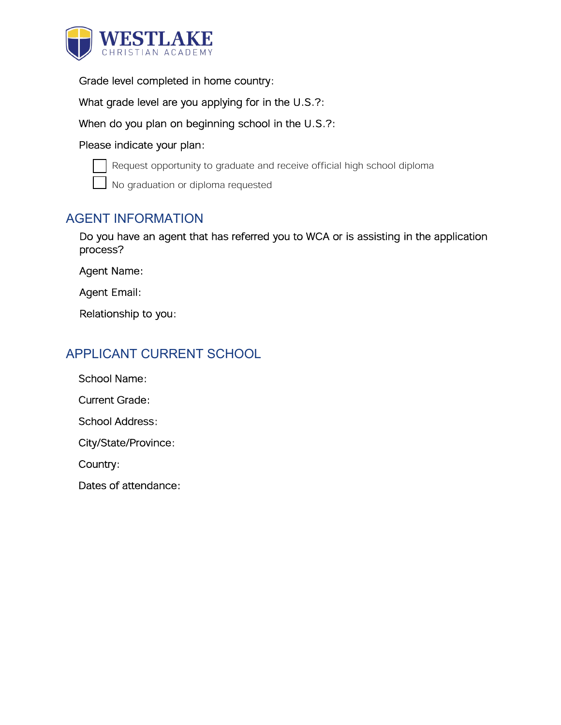

Grade level completed in home country:

What grade level are you applying for in the U.S.?:

When do you plan on beginning school in the U.S.?:

#### Please indicate your plan:



Request opportunity to graduate and receive official high school diploma

No graduation or diploma requested

#### AGENT INFORMATION

Do you have an agent that has referred you to WCA or is assisting in the application process?

Agent Name:

Agent Email:

Relationship to you:

## APPLICANT CURRENT SCHOOL

School Name:

Current Grade:

School Address:

City/State/Province:

Country:

Dates of attendance: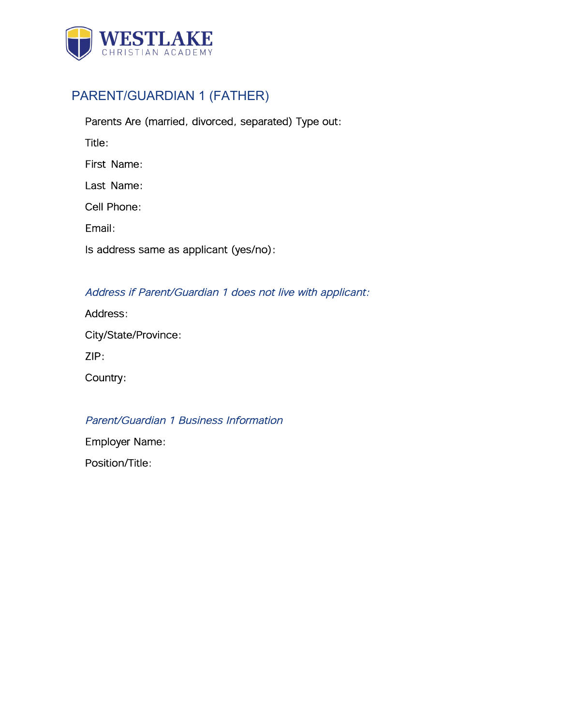

# PARENT/GUARDIAN 1 (FATHER)

| Parents Are (married, divorced, separated) Type out: |
|------------------------------------------------------|
| Title:                                               |
| First Name:                                          |
| Last Name:                                           |
| Cell Phone:                                          |
| Fmail:                                               |
| Is address same as applicant (yes/no):               |
|                                                      |

#### Address if Parent/Guardian 1 does not live with applicant:

### Parent/Guardian 1 Business Information

Employer Name:

Position/Title: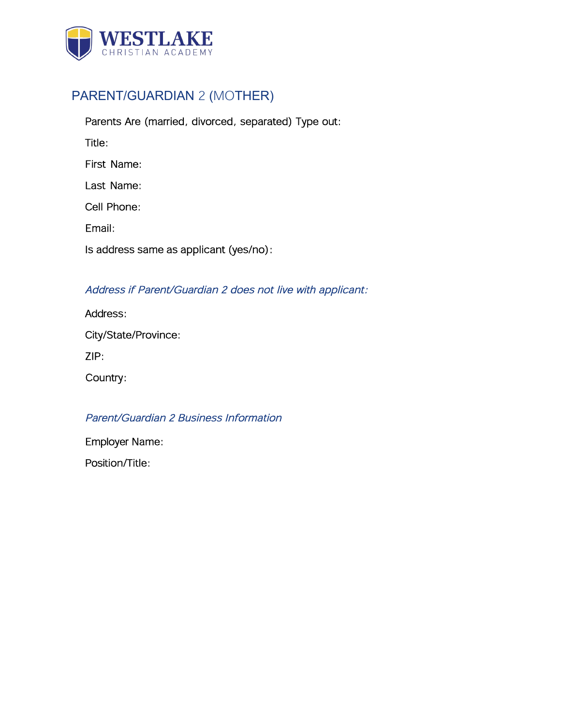

## PARENT/GUARDIAN 2 (MOTHER)

Parents Are (married, divorced, separated) Type out: Title: First Name: Last Name: Cell Phone: Email: Is address same as applicant (yes/no):

#### Address if Parent/Guardian 2 does not live with applicant:

| Address:             |  |
|----------------------|--|
| City/State/Province: |  |
| ZIP:                 |  |
| Country:             |  |

#### Parent/Guardian 2 Business Information

Employer Name:

Position/Title: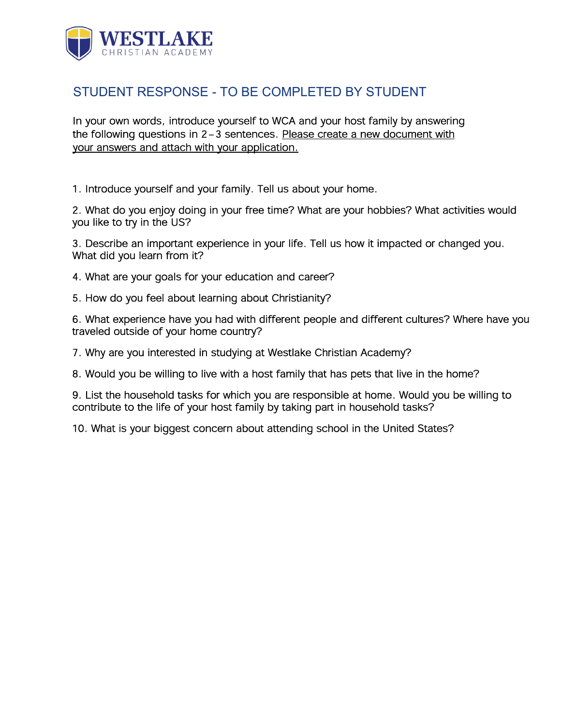

### STUDENT RESPONSE - TO BE COMPLETED BY STUDENT

In your own words, introduce yourself to WCA and your host family by answering the following questions in 2-3 sentences. Please create a new document with your answers and attach with your application.

1. Introduce yourself and your family. Tell us about your home.

2. What do you enjoy doing in your free time? What are your hobbies? What activities would you like to try in the US?

3. Describe an important experience in your life. Tell us how it impacted or changed you. What did you learn from it?

- 4. What are your goals for your education and career?
- 5. How do you feel about learning about Christianity?

6. What experience have you had with different people and different cultures? Where have you traveled outside of your home country?

7. Why are you interested in studying at Westlake Christian Academy?

8. Would you be willing to live with a host family that has pets that live in the home?

9. List the household tasks for which you are responsible at home. Would you be willing to contribute to the life of your host family by taking part in household tasks?

10. What is your biggest concern about attending school in the United States?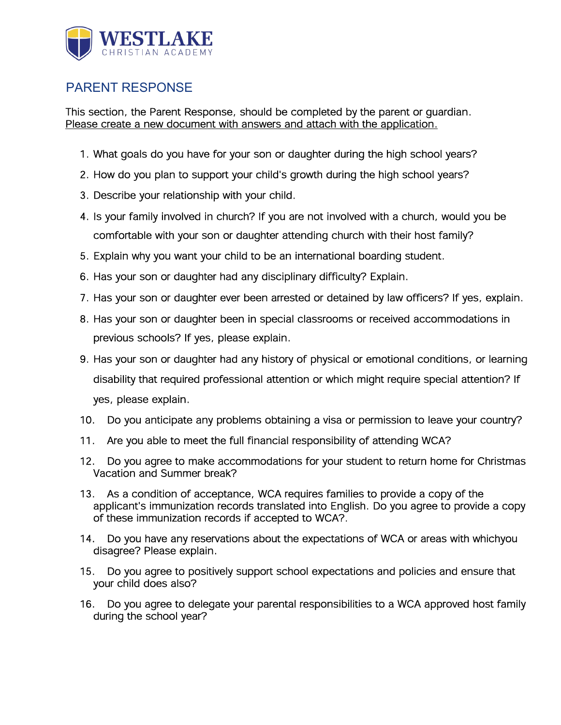

## PARENT RESPONSE

This section, the Parent Response, should be completed by the parent or guardian. Please create a new document with answers and attach with the application.

- 1. What goals do you have for your son or daughter during the high school years?
- 2. How do you plan to support your child's growth during the high school years?
- 3. Describe your relationship with your child.
- 4. Is your family involved in church? If you are not involved with a church, would you be comfortable with your son or daughter attending church with their host family?
- 5. Explain why you want your child to be an international boarding student.
- 6. Has your son or daughter had any disciplinary difficulty? Explain.
- 7. Has your son or daughter ever been arrested or detained by law officers? If yes, explain.
- 8. Has your son or daughter been in special classrooms or received accommodations in previous schools? If yes, please explain.
- 9. Has your son or daughter had any history of physical or emotional conditions, or learning disability that required professional attention or which might require special attention? If yes, please explain.
- 10. Do you anticipate any problems obtaining a visa or permission to leave your country?
- 11. Are you able to meet the full financial responsibility of attending WCA?
- 12. Do you agree to make accommodations for your student to return home for Christmas Vacation and Summer break?
- 13. As a condition of acceptance, WCA requires families to provide a copy of the applicant's immunization records translated into English. Do you agree to provide a copy of these immunization records if accepted to WCA?.
- 14. Do you have any reservations about the expectations of WCA or areas with whichyou disagree? Please explain.
- 15. Do you agree to positively support school expectations and policies and ensure that your child does also?
- 16. Do you agree to delegate your parental responsibilities to a WCA approved host family during the school year?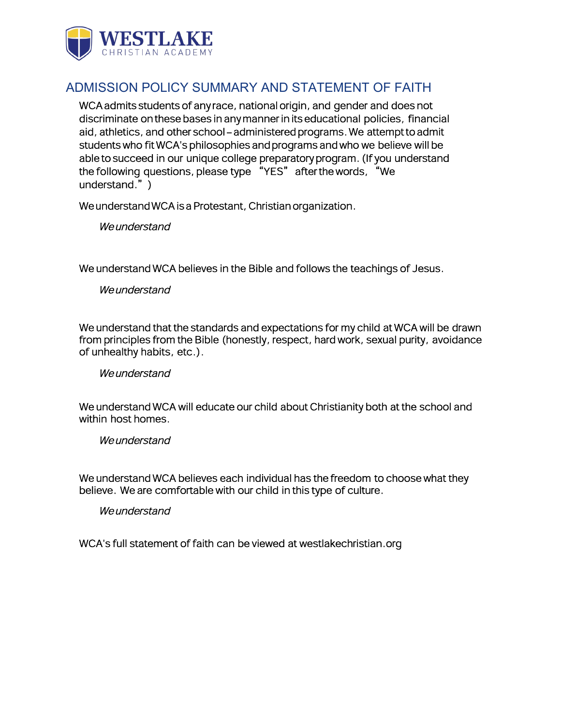

## ADMISSION POLICY SUMMARY AND STATEMENT OF FAITH

WCA admits students of any race, national origin, and gender and does not discriminate on these bases in any manner in its educational policies, financial aid, athletics, and other school-administered programs. We attempt to admit students who fit WCA's philosophies and programs and who we believe will be able to succeed in our unique college preparatory program. (If you understand the following questions, please type "YES" after the words, "We understand.")

We understand WCA is a Protestant, Christian organization.

We understand

We understand WCA believes in the Bible and follows the teachings of Jesus.

We understand

We understand that the standards and expectations for my child at WCA will be drawn from principles from the Bible (honestly, respect, hard work, sexual purity, avoidance of unhealthy habits, etc.).

We understand

We understand WCA will educate our child about Christianity both at the school and within host homes.

**We understand** 

We understand WCA believes each individual has the freedom to choose what they believe. We are comfortable with our child in this type of culture.

We understand

WCA's full statement of faith can be viewed at westlakechristian.org